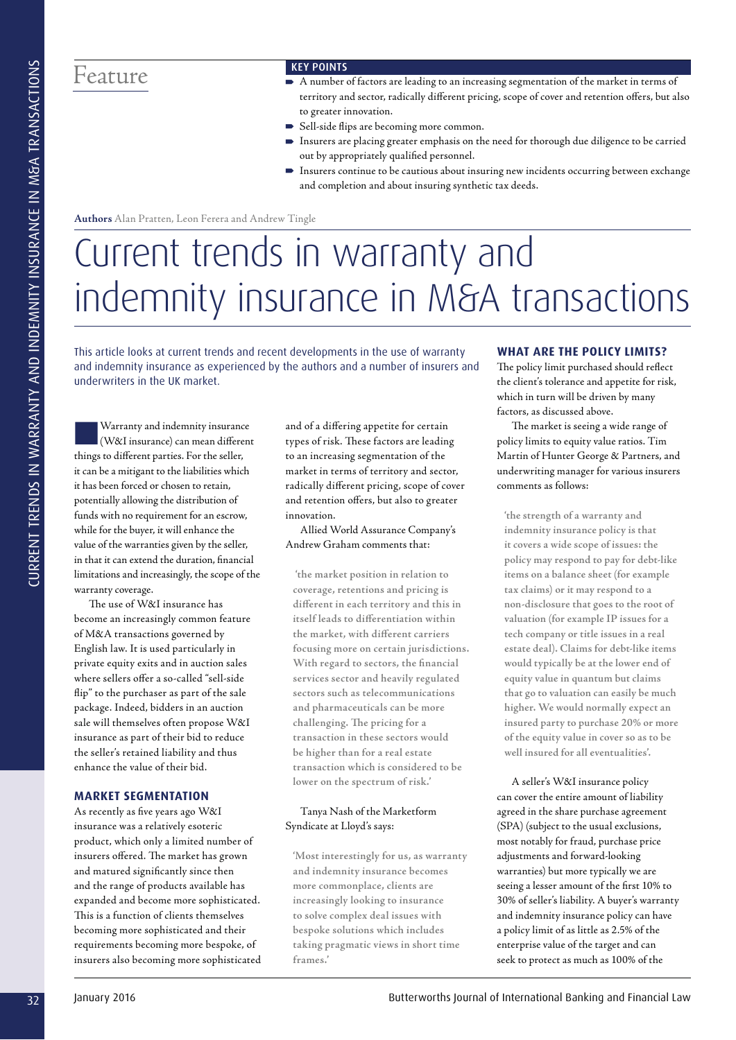# Feature KEY POINTS

- A number of factors are leading to an increasing segmentation of the market in terms of territory and sector, radically different pricing, scope of cover and retention offers, but also to greater innovation.
- Sell-side flips are becoming more common.
- Insurers are placing greater emphasis on the need for thorough due diligence to be carried out by appropriately qualified personnel.
- Insurers continue to be cautious about insuring new incidents occurring between exchange and completion and about insuring synthetic tax deeds.

**Authors** Alan Pratten, Leon Ferera and Andrew Tingle

# 32 January 2016 Butterworths Journal of International Banking and Financial Law CURRENT TRENDS IN WARRANTY AND INDEMNITY INSURANCE IN M&A TRANSACTIONS Current trends in warranty and indemnity insurance in M&A transactions

This article looks at current trends and recent developments in the use of warranty and indemnity insurance as experienced by the authors and a number of insurers and underwriters in the UK market.

Warranty and indemnity insurance (W&I insurance) can mean different things to different parties. For the seller, it can be a mitigant to the liabilities which it has been forced or chosen to retain, potentially allowing the distribution of funds with no requirement for an escrow, while for the buyer, it will enhance the value of the warranties given by the seller, in that it can extend the duration, financial limitations and increasingly, the scope of the warranty coverage.

The use of W&I insurance has become an increasingly common feature of M&A transactions governed by English law. It is used particularly in private equity exits and in auction sales where sellers offer a so-called "sell-side flip" to the purchaser as part of the sale package. Indeed, bidders in an auction sale will themselves often propose W&I insurance as part of their bid to reduce the seller's retained liability and thus enhance the value of their bid.

# **MARKET SEGMENTATION**

As recently as five years ago W&I insurance was a relatively esoteric product, which only a limited number of insurers offered. The market has grown and matured significantly since then and the range of products available has expanded and become more sophisticated. This is a function of clients themselves becoming more sophisticated and their requirements becoming more bespoke, of insurers also becoming more sophisticated and of a differing appetite for certain types of risk. These factors are leading to an increasing segmentation of the market in terms of territory and sector, radically different pricing, scope of cover and retention offers, but also to greater innovation.

Allied World Assurance Company's Andrew Graham comments that:

 **'the market position in relation to coverage, retentions and pricing is different in each territory and this in itself leads to differentiation within the market, with different carriers focusing more on certain jurisdictions. With regard to sectors, the financial services sector and heavily regulated sectors such as telecommunications and pharmaceuticals can be more challenging. The pricing for a transaction in these sectors would be higher than for a real estate transaction which is considered to be lower on the spectrum of risk.'** 

# Tanya Nash of the Marketform Syndicate at Lloyd's says:

**'Most interestingly for us, as warranty and indemnity insurance becomes more commonplace, clients are increasingly looking to insurance to solve complex deal issues with bespoke solutions which includes taking pragmatic views in short time frames.'**

# **WHAT ARE THE POLICY LIMITS?**

The policy limit purchased should reflect the client's tolerance and appetite for risk, which in turn will be driven by many factors, as discussed above.

The market is seeing a wide range of policy limits to equity value ratios. Tim Martin of Hunter George & Partners, and underwriting manager for various insurers comments as follows:

**'the strength of a warranty and indemnity insurance policy is that it covers a wide scope of issues: the policy may respond to pay for debt-like items on a balance sheet (for example tax claims) or it may respond to a non-disclosure that goes to the root of valuation (for example IP issues for a tech company or title issues in a real estate deal). Claims for debt-like items would typically be at the lower end of equity value in quantum but claims that go to valuation can easily be much higher. We would normally expect an insured party to purchase 20% or more of the equity value in cover so as to be well insured for all eventualities'.**

A seller's W&I insurance policy can cover the entire amount of liability agreed in the share purchase agreement (SPA) (subject to the usual exclusions, most notably for fraud, purchase price adjustments and forward-looking warranties) but more typically we are seeing a lesser amount of the first 10% to 30% of seller's liability. A buyer's warranty and indemnity insurance policy can have a policy limit of as little as 2.5% of the enterprise value of the target and can seek to protect as much as 100% of the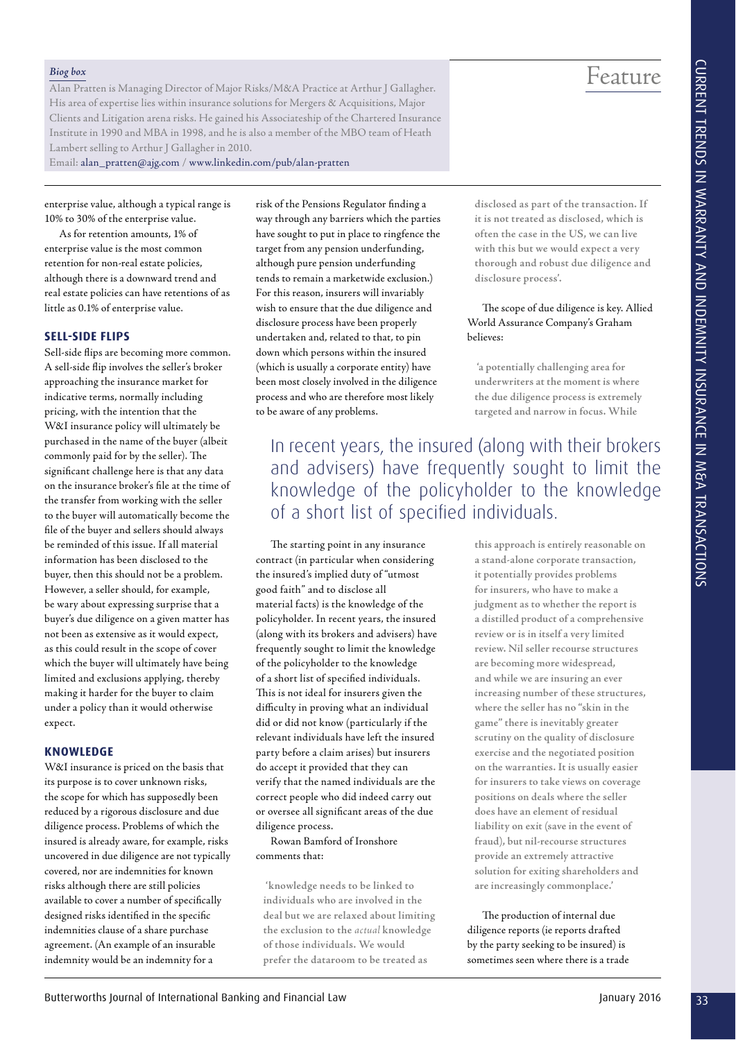Feature

**disclosed as part of the transaction. If it is not treated as disclosed, which is often the case in the US, we can live with this but we would expect a very thorough and robust due diligence and** 

The scope of due diligence is key. Allied World Assurance Company's Graham

 **'a potentially challenging area for underwriters at the moment is where the due diligence process is extremely targeted and narrow in focus. While** 

**disclosure process'.**

believes:

### *Biog box*

Alan Pratten is Managing Director of Major Risks/M&A Practice at Arthur J Gallagher. His area of expertise lies within insurance solutions for Mergers & Acquisitions, Major Clients and Litigation arena risks. He gained his Associateship of the Chartered Insurance Institute in 1990 and MBA in 1998, and he is also a member of the MBO team of Heath Lambert selling to Arthur J Gallagher in 2010.

Email: alan\_pratten@ajg.com / www.linkedin.com/pub/alan-pratten

enterprise value, although a typical range is 10% to 30% of the enterprise value.

As for retention amounts, 1% of enterprise value is the most common retention for non-real estate policies, although there is a downward trend and real estate policies can have retentions of as little as 0.1% of enterprise value.

# **SELL-SIDE FLIPS**

33 Butter is the control of the control of the control of the control of the control of the control of the control of the control of the control of the control of the control of the control of the control of the control o Sell-side flips are becoming more common. A sell-side flip involves the seller's broker approaching the insurance market for indicative terms, normally including pricing, with the intention that the W&I insurance policy will ultimately be purchased in the name of the buyer (albeit commonly paid for by the seller). The significant challenge here is that any data on the insurance broker's file at the time of the transfer from working with the seller to the buyer will automatically become the file of the buyer and sellers should always be reminded of this issue. If all material information has been disclosed to the buyer, then this should not be a problem. However, a seller should, for example, be wary about expressing surprise that a buyer's due diligence on a given matter has not been as extensive as it would expect, as this could result in the scope of cover which the buyer will ultimately have being limited and exclusions applying, thereby making it harder for the buyer to claim under a policy than it would otherwise expect.

# **KNOWLEDGE**

W&I insurance is priced on the basis that its purpose is to cover unknown risks, the scope for which has supposedly been reduced by a rigorous disclosure and due diligence process. Problems of which the insured is already aware, for example, risks uncovered in due diligence are not typically covered, nor are indemnities for known risks although there are still policies available to cover a number of specifically designed risks identified in the specific indemnities clause of a share purchase agreement. (An example of an insurable indemnity would be an indemnity for a

risk of the Pensions Regulator finding a way through any barriers which the parties have sought to put in place to ringfence the target from any pension underfunding, although pure pension underfunding tends to remain a marketwide exclusion.) For this reason, insurers will invariably wish to ensure that the due diligence and disclosure process have been properly undertaken and, related to that, to pin down which persons within the insured (which is usually a corporate entity) have been most closely involved in the diligence process and who are therefore most likely to be aware of any problems.

In recent years, the insured (along with their brokers and advisers) have frequently sought to limit the knowledge of the policyholder to the knowledge of a short list of specified individuals.

The starting point in any insurance contract (in particular when considering the insured's implied duty of "utmost good faith" and to disclose all material facts) is the knowledge of the policyholder. In recent years, the insured (along with its brokers and advisers) have frequently sought to limit the knowledge of the policyholder to the knowledge of a short list of specified individuals. This is not ideal for insurers given the difficulty in proving what an individual did or did not know (particularly if the relevant individuals have left the insured party before a claim arises) but insurers do accept it provided that they can verify that the named individuals are the correct people who did indeed carry out or oversee all significant areas of the due diligence process.

Rowan Bamford of Ironshore comments that:

 **'knowledge needs to be linked to individuals who are involved in the deal but we are relaxed about limiting the exclusion to the** *actual* **knowledge of those individuals. We would prefer the dataroom to be treated as** 

**this approach is entirely reasonable on a stand-alone corporate transaction, it potentially provides problems for insurers, who have to make a judgment as to whether the report is a distilled product of a comprehensive review or is in itself a very limited review. Nil seller recourse structures are becoming more widespread, and while we are insuring an ever increasing number of these structures, where the seller has no "skin in the game" there is inevitably greater scrutiny on the quality of disclosure exercise and the negotiated position on the warranties. It is usually easier for insurers to take views on coverage positions on deals where the seller does have an element of residual liability on exit (save in the event of fraud), but nil-recourse structures provide an extremely attractive solution for exiting shareholders and are increasingly commonplace.'**

The production of internal due diligence reports (ie reports drafted by the party seeking to be insured) is sometimes seen where there is a trade